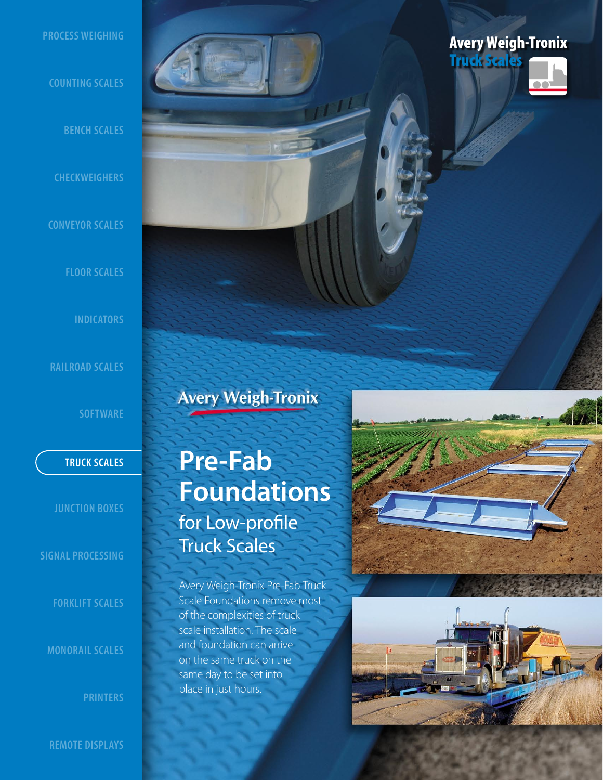### **PROCESS WEIGHING**

### **COUNTING SCALES**

**BENCH SCALES**

**CHECKWEIGHERS**

**CONVEYOR SCALES**

**FLOOR SCALES**

**INDICATORS**

**RAILROAD SCALES** 

**SOFTWARE**

**JUNCTION BOXES**

**SIGNAL PROCESSING**

**FORKLIFT SCALES**

**MONORAIL SCALES**

**PRINTERS**

**REMOTE DISPLAYS**

**Avery Weigh-Tronix** 

# **TRUCK SCALES Pre-Fab Foundations**  for Low-profile Truck Scales

Avery Weigh-Tronix Pre-Fab Truck Scale Foundations remove most of the complexities of truck scale installation. The scale and foundation can arrive on the same truck on the same day to be set into place in just hours.